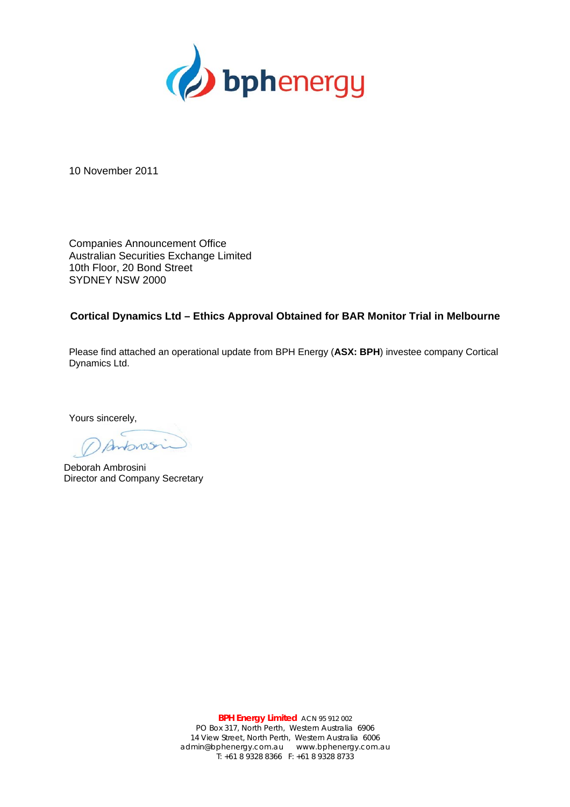

10 November 2011

Companies Announcement Office Australian Securities Exchange Limited 10th Floor, 20 Bond Street SYDNEY NSW 2000

## **Cortical Dynamics Ltd – Ethics Approval Obtained for BAR Monitor Trial in Melbourne**

Please find attached an operational update from BPH Energy (**ASX: BPH**) investee company Cortical Dynamics Ltd.

Yours sincerely,

Antonos

Deborah Ambrosini Director and Company Secretary

**BPH Energy Limited** ACN 95 912 002 PO Box 317, North Perth, Western Australia 6906 14 View Street, North Perth, Western Australia 6006 admin@bphenergy.com.au www.bphenergy.com.au T: +61 8 9328 8366 F: +61 8 9328 8733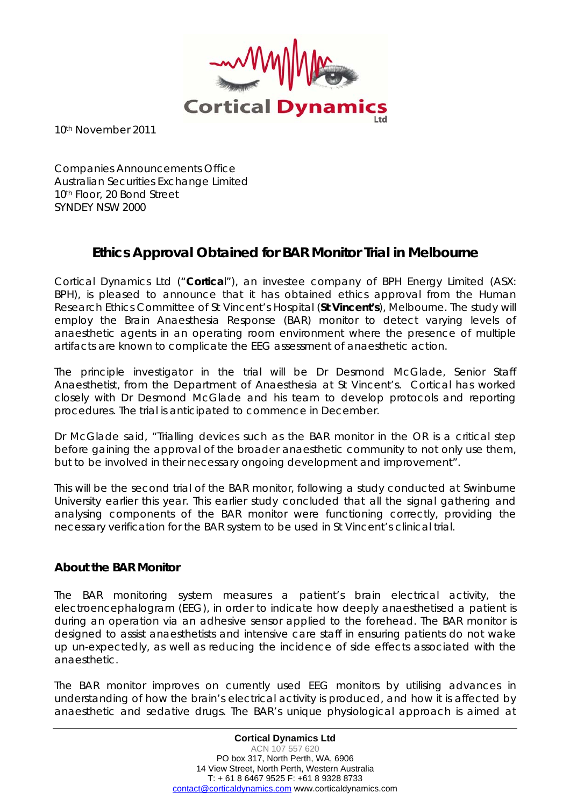

10th November 2011

Companies Announcements Office Australian Securities Exchange Limited 10<sup>th</sup> Floor, 20 Bond Street SYNDEY NSW 2000

## **Ethics Approval Obtained for BAR Monitor Trial in Melbourne**

Cortical Dynamics Ltd ("**Cortica**l"), an investee company of BPH Energy Limited (ASX: BPH), is pleased to announce that it has obtained ethics approval from the Human Research Ethics Committee of St Vincent's Hospital (**St Vincent's**), Melbourne. The study will employ the Brain Anaesthesia Response (BAR) monitor to detect varying levels of anaesthetic agents in an operating room environment where the presence of multiple artifacts are known to complicate the EEG assessment of anaesthetic action.

The principle investigator in the trial will be Dr Desmond McGlade, Senior Staff Anaesthetist, from the Department of Anaesthesia at St Vincent's. Cortical has worked closely with Dr Desmond McGlade and his team to develop protocols and reporting procedures. The trial is anticipated to commence in December.

Dr McGlade said, "Trialling devices such as the BAR monitor in the OR is a critical step before gaining the approval of the broader anaesthetic community to not only use them, but to be involved in their necessary ongoing development and improvement".

This will be the second trial of the BAR monitor, following a study conducted at Swinburne University earlier this year. This earlier study concluded that all the signal gathering and analysing components of the BAR monitor were functioning correctly, providing the necessary verification for the BAR system to be used in St Vincent's clinical trial.

## **About the BAR Monitor**

The BAR monitoring system measures a patient's brain electrical activity, the electroencephalogram (EEG), in order to indicate how deeply anaesthetised a patient is during an operation via an adhesive sensor applied to the forehead. The BAR monitor is designed to assist anaesthetists and intensive care staff in ensuring patients do not wake up un-expectedly, as well as reducing the incidence of side effects associated with the anaesthetic.

The BAR monitor improves on currently used EEG monitors by utilising advances in understanding of how the brain's electrical activity is produced, and how it is affected by anaesthetic and sedative drugs. The BAR's unique physiological approach is aimed at